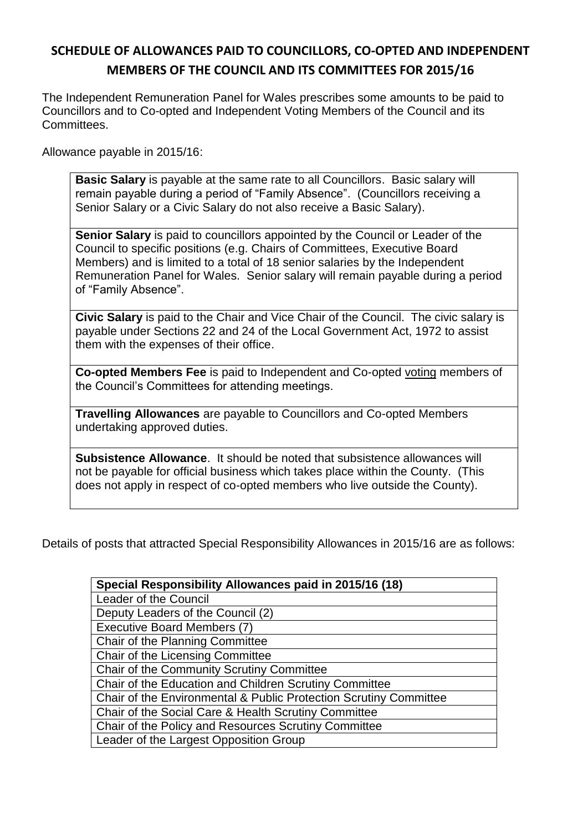## **SCHEDULE OF ALLOWANCES PAID TO COUNCILLORS, CO-OPTED AND INDEPENDENT MEMBERS OF THE COUNCIL AND ITS COMMITTEES FOR 2015/16**

The Independent Remuneration Panel for Wales prescribes some amounts to be paid to Councillors and to Co-opted and Independent Voting Members of the Council and its Committees.

Allowance payable in 2015/16:

**Basic Salary** is payable at the same rate to all Councillors. Basic salary will remain payable during a period of "Family Absence". (Councillors receiving a Senior Salary or a Civic Salary do not also receive a Basic Salary).

**Senior Salary** is paid to councillors appointed by the Council or Leader of the Council to specific positions (e.g. Chairs of Committees, Executive Board Members) and is limited to a total of 18 senior salaries by the Independent Remuneration Panel for Wales. Senior salary will remain payable during a period of "Family Absence".

**Civic Salary** is paid to the Chair and Vice Chair of the Council. The civic salary is payable under Sections 22 and 24 of the Local Government Act, 1972 to assist them with the expenses of their office.

**Co-opted Members Fee** is paid to Independent and Co-opted voting members of the Council's Committees for attending meetings.

**Travelling Allowances** are payable to Councillors and Co-opted Members undertaking approved duties.

**Subsistence Allowance**. It should be noted that subsistence allowances will not be payable for official business which takes place within the County. (This does not apply in respect of co-opted members who live outside the County).

Details of posts that attracted Special Responsibility Allowances in 2015/16 are as follows:

| Special Responsibility Allowances paid in 2015/16 (18)            |  |  |  |  |  |  |  |
|-------------------------------------------------------------------|--|--|--|--|--|--|--|
| Leader of the Council                                             |  |  |  |  |  |  |  |
| Deputy Leaders of the Council (2)                                 |  |  |  |  |  |  |  |
| Executive Board Members (7)                                       |  |  |  |  |  |  |  |
| Chair of the Planning Committee                                   |  |  |  |  |  |  |  |
| Chair of the Licensing Committee                                  |  |  |  |  |  |  |  |
| Chair of the Community Scrutiny Committee                         |  |  |  |  |  |  |  |
| Chair of the Education and Children Scrutiny Committee            |  |  |  |  |  |  |  |
| Chair of the Environmental & Public Protection Scrutiny Committee |  |  |  |  |  |  |  |
| Chair of the Social Care & Health Scrutiny Committee              |  |  |  |  |  |  |  |
| Chair of the Policy and Resources Scrutiny Committee              |  |  |  |  |  |  |  |
| Leader of the Largest Opposition Group                            |  |  |  |  |  |  |  |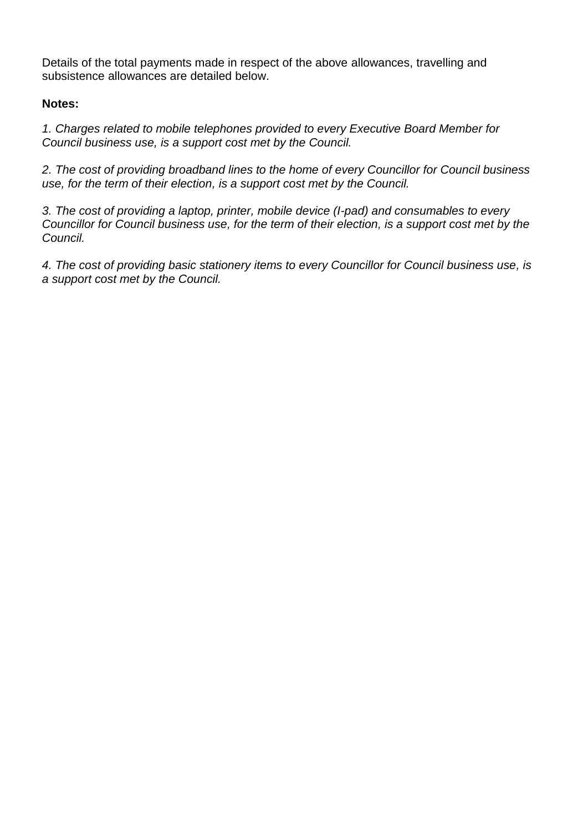Details of the total payments made in respect of the above allowances, travelling and subsistence allowances are detailed below.

## **Notes:**

*1. Charges related to mobile telephones provided to every Executive Board Member for Council business use, is a support cost met by the Council.*

*2. The cost of providing broadband lines to the home of every Councillor for Council business use, for the term of their election, is a support cost met by the Council.*

*3. The cost of providing a laptop, printer, mobile device (I-pad) and consumables to every Councillor for Council business use, for the term of their election, is a support cost met by the Council.*

*4. The cost of providing basic stationery items to every Councillor for Council business use, is a support cost met by the Council.*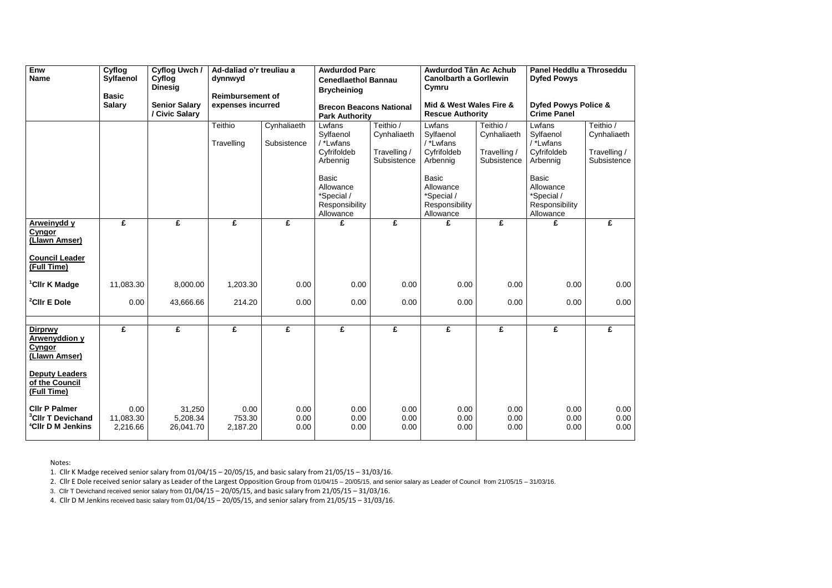| <b>Enw</b><br><b>Name</b>                                                                                           | Cyflog<br>Sylfaenol<br><b>Basic</b> | <b>Cyflog Uwch /</b><br>Cyflog<br><b>Dinesig</b> | Ad-daliad o'r treuliau a<br>dynnwyd<br><b>Reimbursement of</b> |                            | <b>Awdurdod Parc</b><br><b>Cenedlaethol Bannau</b><br><b>Brycheiniog</b> |                                                         | Awdurdod Tân Ac Achub<br><b>Canolbarth a Gorllewin</b><br>Cymru        |                                                         | <b>Dyfed Powys</b>                                                     | Panel Heddlu a Throseddu                                |  |
|---------------------------------------------------------------------------------------------------------------------|-------------------------------------|--------------------------------------------------|----------------------------------------------------------------|----------------------------|--------------------------------------------------------------------------|---------------------------------------------------------|------------------------------------------------------------------------|---------------------------------------------------------|------------------------------------------------------------------------|---------------------------------------------------------|--|
|                                                                                                                     | <b>Salary</b>                       | <b>Senior Salary</b><br>/ Civic Salary           | expenses incurred                                              |                            | <b>Brecon Beacons National</b><br><b>Park Authority</b>                  |                                                         | Mid & West Wales Fire &<br><b>Rescue Authority</b>                     |                                                         | <b>Dyfed Powys Police &amp;</b><br><b>Crime Panel</b>                  |                                                         |  |
|                                                                                                                     |                                     |                                                  | Teithio<br>Travelling                                          | Cynhaliaeth<br>Subsistence | Lwfans<br>Sylfaenol<br>/ *Lwfans<br>Cyfrifoldeb<br>Arbennig              | Teithio /<br>Cynhaliaeth<br>Travelling /<br>Subsistence | Lwfans<br>Sylfaenol<br>/ *Lwfans<br>Cyfrifoldeb<br>Arbennig            | Teithio /<br>Cynhaliaeth<br>Travelling /<br>Subsistence | Lwfans<br>Sylfaenol<br>$/$ *Lwfans<br>Cyfrifoldeb<br>Arbennig          | Teithio /<br>Cynhaliaeth<br>Travelling /<br>Subsistence |  |
|                                                                                                                     |                                     |                                                  |                                                                |                            | <b>Basic</b><br>Allowance<br>*Special /<br>Responsibility<br>Allowance   |                                                         | <b>Basic</b><br>Allowance<br>*Special /<br>Responsibility<br>Allowance |                                                         | <b>Basic</b><br>Allowance<br>*Special /<br>Responsibility<br>Allowance |                                                         |  |
| <b>Arweinydd y</b><br><b>Cyngor</b><br>(Llawn Amser)                                                                | £                                   | £                                                | £                                                              | £                          | £                                                                        | £                                                       | £                                                                      | £                                                       | £                                                                      | £                                                       |  |
| <b>Council Leader</b><br>(Full Time)                                                                                |                                     |                                                  |                                                                |                            |                                                                          |                                                         |                                                                        |                                                         |                                                                        |                                                         |  |
| <sup>1</sup> CIIr K Madge                                                                                           | 11,083.30                           | 8,000.00                                         | 1,203.30                                                       | 0.00                       | 0.00                                                                     | 0.00                                                    | 0.00                                                                   | 0.00                                                    | 0.00                                                                   | 0.00                                                    |  |
| <sup>2</sup> CIIr E Dole                                                                                            | 0.00                                | 43,666.66                                        | 214.20                                                         | 0.00                       | 0.00                                                                     | 0.00                                                    | 0.00                                                                   | 0.00                                                    | 0.00                                                                   | 0.00                                                    |  |
| <b>Dirprwy</b><br><b>Arwenyddion y</b><br><b>Cyngor</b><br>(Llawn Amser)<br><b>Deputy Leaders</b><br>of the Council | £                                   | £                                                | £                                                              | £                          | £                                                                        | £                                                       | £                                                                      | £                                                       | £                                                                      | £                                                       |  |
| (Full Time)<br><b>CIIr P Palmer</b><br><sup>3</sup> Cllr T Devichand<br><sup>4</sup> CIIr D M Jenkins               | 0.00<br>11,083.30<br>2,216.66       | 31,250<br>5,208.34<br>26,041.70                  | 0.00<br>753.30<br>2,187.20                                     | 0.00<br>0.00<br>0.00       | 0.00<br>0.00<br>0.00                                                     | 0.00<br>0.00<br>0.00                                    | 0.00<br>0.00<br>0.00                                                   | 0.00<br>0.00<br>0.00                                    | 0.00<br>0.00<br>0.00                                                   | 0.00<br>0.00<br>0.00                                    |  |

Notes:

1. Cllr K Madge received senior salary from 01/04/15 – 20/05/15, and basic salary from 21/05/15 – 31/03/16.

2. Cllr E Dole received senior salary as Leader of the Largest Opposition Group from 01/04/15 – 20/05/15, and senior salary as Leader of Council from 21/05/15 – 31/03/16.

3. Cllr T Devichand received senior salary from 01/04/15 – 20/05/15, and basic salary from 21/05/15 – 31/03/16.

4. Cllr D M Jenkins received basic salary from 01/04/15 – 20/05/15, and senior salary from 21/05/15 – 31/03/16.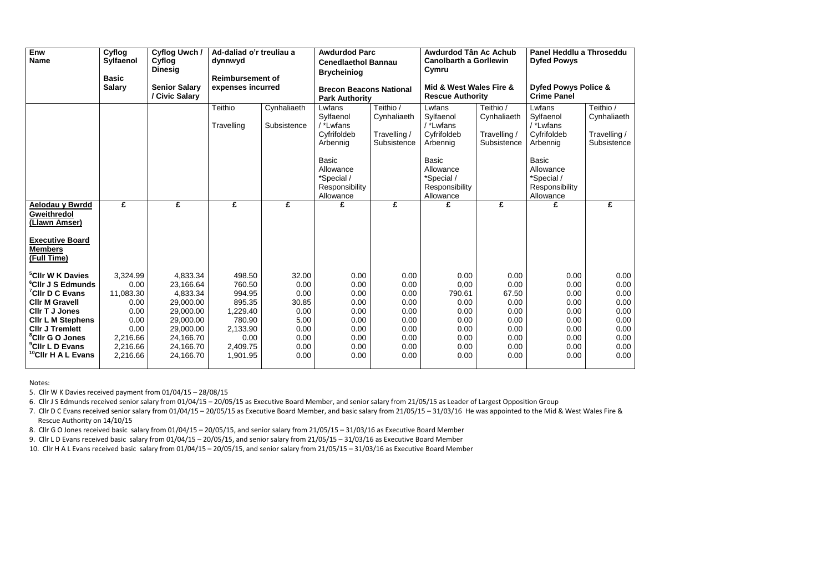| Enw<br><b>Name</b>                                                                                                                                                                                                                                                                                   | Cyflog<br><b>Sylfaenol</b><br><b>Basic</b>                                                        | Cyflog Uwch /<br>Cyflog<br><b>Dinesig</b>                                                                                    | Ad-daliad o'r treuliau a<br>dynnwyd<br><b>Reimbursement of</b><br>expenses incurred                    |                                                                                | <b>Awdurdod Parc</b><br><b>Cenedlaethol Bannau</b><br><b>Brycheiniog</b><br><b>Brecon Beacons National</b><br><b>Park Authority</b> |                                                                              | Awdurdod Tân Ac Achub<br><b>Canolbarth a Gorllewin</b><br>Cymru<br>Mid & West Wales Fire &<br><b>Rescue Authority</b> |                                                                               | Panel Heddlu a Throseddu<br><b>Dyfed Powys</b><br><b>Dyfed Powys Police &amp;</b><br><b>Crime Panel</b> |                                                                              |
|------------------------------------------------------------------------------------------------------------------------------------------------------------------------------------------------------------------------------------------------------------------------------------------------------|---------------------------------------------------------------------------------------------------|------------------------------------------------------------------------------------------------------------------------------|--------------------------------------------------------------------------------------------------------|--------------------------------------------------------------------------------|-------------------------------------------------------------------------------------------------------------------------------------|------------------------------------------------------------------------------|-----------------------------------------------------------------------------------------------------------------------|-------------------------------------------------------------------------------|---------------------------------------------------------------------------------------------------------|------------------------------------------------------------------------------|
|                                                                                                                                                                                                                                                                                                      | <b>Salary</b>                                                                                     | <b>Senior Salary</b><br>/ Civic Salary                                                                                       |                                                                                                        |                                                                                |                                                                                                                                     |                                                                              |                                                                                                                       |                                                                               |                                                                                                         |                                                                              |
|                                                                                                                                                                                                                                                                                                      |                                                                                                   |                                                                                                                              | <b>Teithio</b><br>Travelling                                                                           | Cynhaliaeth<br>Subsistence                                                     | Lwfans<br>Sylfaenol<br>/ *Lwfans<br>Cyfrifoldeb<br>Arbennig                                                                         | Teithio /<br>Cynhaliaeth<br>Travelling /<br>Subsistence                      | Lwfans<br>Sylfaenol<br>/ *Lwfans<br>Cyfrifoldeb<br>Arbennig                                                           | Teithio /<br>Cynhaliaeth<br>Travelling /<br>Subsistence                       | Lwfans<br>Sylfaenol<br>/ *Lwfans<br>Cyfrifoldeb<br>Arbennig                                             | Teithio /<br>Cynhaliaeth<br>Travelling /<br>Subsistence                      |
|                                                                                                                                                                                                                                                                                                      |                                                                                                   |                                                                                                                              |                                                                                                        |                                                                                | <b>Basic</b><br>Allowance<br>*Special /<br>Responsibility<br>Allowance                                                              |                                                                              | <b>Basic</b><br>Allowance<br>*Special /<br>Responsibility<br>Allowance                                                |                                                                               | <b>Basic</b><br>Allowance<br>*Special /<br>Responsibility<br>Allowance                                  |                                                                              |
| <b>Aelodau y Bwrdd</b><br><b>Gweithredol</b><br>(Llawn Amser)<br><b>Executive Board</b><br><b>Members</b><br>(Full Time)                                                                                                                                                                             | £                                                                                                 | £                                                                                                                            | £                                                                                                      | £                                                                              | £                                                                                                                                   | £                                                                            | £                                                                                                                     | £                                                                             | £                                                                                                       | £                                                                            |
| <sup>5</sup> Cllr W K Davies<br><sup>6</sup> CIIr J S Edmunds<br><sup>7</sup> CIIr D C Evans<br><b>Cllr M Gravell</b><br><b>CIIr T J Jones</b><br><b>CIIr L M Stephens</b><br><b>CIIr J Tremlett</b><br><sup>8</sup> Cllr G O Jones<br><sup>9</sup> CIIr L D Evans<br><sup>10</sup> CIIr H A L Evans | 3,324.99<br>0.00<br>11,083.30<br>0.00<br>0.00<br>0.00<br>0.00<br>2,216.66<br>2,216.66<br>2,216.66 | 4,833.34<br>23,166.64<br>4,833.34<br>29,000.00<br>29,000.00<br>29,000.00<br>29,000.00<br>24,166.70<br>24,166.70<br>24,166.70 | 498.50<br>760.50<br>994.95<br>895.35<br>1,229.40<br>780.90<br>2,133.90<br>0.00<br>2,409.75<br>1,901.95 | 32.00<br>0.00<br>0.00<br>30.85<br>0.00<br>5.00<br>0.00<br>0.00<br>0.00<br>0.00 | 0.00<br>0.00<br>0.00<br>0.00<br>0.00<br>0.00<br>0.00<br>0.00<br>0.00<br>0.00                                                        | 0.00<br>0.00<br>0.00<br>0.00<br>0.00<br>0.00<br>0.00<br>0.00<br>0.00<br>0.00 | 0.00<br>0,00<br>790.61<br>0.00<br>0.00<br>0.00<br>0.00<br>0.00<br>0.00<br>0.00                                        | 0.00<br>0.00<br>67.50<br>0.00<br>0.00<br>0.00<br>0.00<br>0.00<br>0.00<br>0.00 | 0.00<br>0.00<br>0.00<br>0.00<br>0.00<br>0.00<br>0.00<br>0.00<br>0.00<br>0.00                            | 0.00<br>0.00<br>0.00<br>0.00<br>0.00<br>0.00<br>0.00<br>0.00<br>0.00<br>0.00 |

7. Cllr D C Evans received senior salary from 01/04/15 – 20/05/15 as Executive Board Member, and basic salary from 21/05/15 – 31/03/16 He was appointed to the Mid & West Wales Fire & Rescue Authority on 14/10/15

Notes:

5. Cllr W K Davies received payment from 01/04/15 – 28/08/15

6. Cllr J S Edmunds received senior salary from 01/04/15 – 20/05/15 as Executive Board Member, and senior salary from 21/05/15 as Leader of Largest Opposition Group

8. Cllr G O Jones received basic salary from 01/04/15 – 20/05/15, and senior salary from 21/05/15 – 31/03/16 as Executive Board Member

9. Cllr L D Evans received basic salary from 01/04/15 – 20/05/15, and senior salary from 21/05/15 – 31/03/16 as Executive Board Member

10. Cllr H A L Evans received basic salary from 01/04/15 – 20/05/15, and senior salary from 21/05/15 – 31/03/16 as Executive Board Member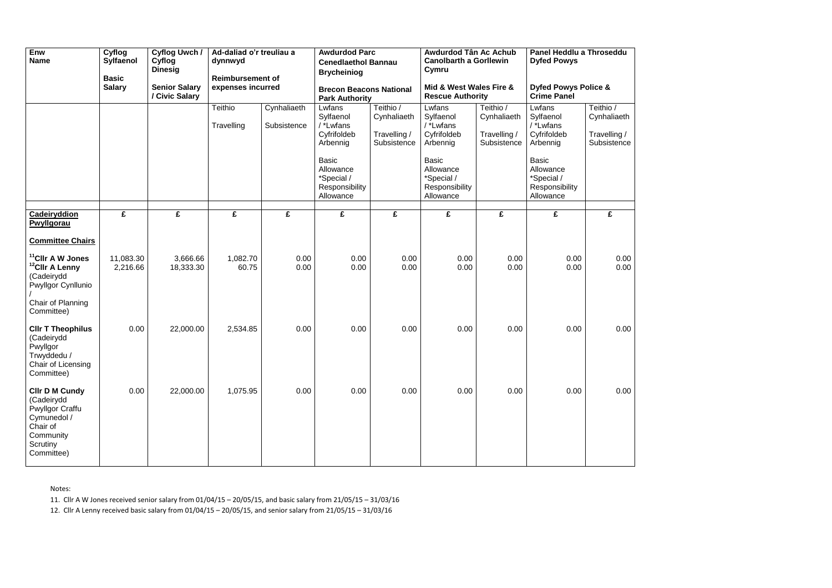| Enw<br><b>Name</b>                                                                                                                | Cyflog<br>Sylfaenol<br><b>Basic</b><br><b>Salary</b> | Cyflog Uwch /<br>Cyflog<br><b>Dinesig</b><br><b>Senior Salary</b><br>/ Civic Salary | Ad-daliad o'r treuliau a<br>dynnwyd<br><b>Reimbursement of</b><br>expenses incurred |                            | <b>Brycheiniog</b><br><b>Park Authority</b>                                                                                           | <b>Awdurdod Parc</b><br><b>Cenedlaethol Bannau</b><br>Cymru<br><b>Brecon Beacons National</b> |                                                                                                                                       | Awdurdod Tân Ac Achub<br><b>Canolbarth a Gorllewin</b><br>Mid & West Wales Fire &<br><b>Rescue Authority</b> | Panel Heddlu a Throseddu<br><b>Dyfed Powys</b><br><b>Dyfed Powys Police &amp;</b><br><b>Crime Panel</b>                               |                                                         |
|-----------------------------------------------------------------------------------------------------------------------------------|------------------------------------------------------|-------------------------------------------------------------------------------------|-------------------------------------------------------------------------------------|----------------------------|---------------------------------------------------------------------------------------------------------------------------------------|-----------------------------------------------------------------------------------------------|---------------------------------------------------------------------------------------------------------------------------------------|--------------------------------------------------------------------------------------------------------------|---------------------------------------------------------------------------------------------------------------------------------------|---------------------------------------------------------|
|                                                                                                                                   |                                                      |                                                                                     | Teithio<br>Travelling                                                               | Cynhaliaeth<br>Subsistence | Lwfans<br>Sylfaenol<br>/ *Lwfans<br>Cyfrifoldeb<br>Arbennig<br><b>Basic</b><br>Allowance<br>*Special /<br>Responsibility<br>Allowance | Teithio /<br>Cynhaliaeth<br>Travelling /<br>Subsistence                                       | Lwfans<br>Sylfaenol<br>/ *Lwfans<br>Cyfrifoldeb<br>Arbennig<br><b>Basic</b><br>Allowance<br>*Special /<br>Responsibility<br>Allowance | Teithio /<br>Cynhaliaeth<br>Travelling /<br>Subsistence                                                      | Lwfans<br>Sylfaenol<br>/ *Lwfans<br>Cyfrifoldeb<br>Arbennig<br><b>Basic</b><br>Allowance<br>*Special /<br>Responsibility<br>Allowance | Teithio /<br>Cynhaliaeth<br>Travelling /<br>Subsistence |
| Cadeiryddion<br>Pwyllgorau<br><b>Committee Chairs</b>                                                                             | £                                                    | £                                                                                   | £                                                                                   | £                          | £                                                                                                                                     | £                                                                                             | £                                                                                                                                     | £                                                                                                            | £                                                                                                                                     | £                                                       |
| <sup>11</sup> CIIr A W Jones<br><sup>12</sup> CIIr A Lenny<br>(Cadeirydd<br>Pwyllgor Cynllunio<br>Chair of Planning<br>Committee) | 11,083.30<br>2,216.66                                | 3,666.66<br>18,333.30                                                               | 1,082.70<br>60.75                                                                   | 0.00<br>0.00               | 0.00<br>0.00                                                                                                                          | 0.00<br>0.00                                                                                  | 0.00<br>0.00                                                                                                                          | 0.00<br>0.00                                                                                                 | 0.00<br>0.00                                                                                                                          | 0.00<br>0.00                                            |
| <b>CIIr T Theophilus</b><br>(Cadeirydd<br>Pwyllgor<br>Trwyddedu /<br>Chair of Licensing<br>Committee)                             | 0.00                                                 | 22,000.00                                                                           | 2,534.85                                                                            | 0.00                       | 0.00                                                                                                                                  | 0.00                                                                                          | 0.00                                                                                                                                  | 0.00                                                                                                         | 0.00                                                                                                                                  | 0.00                                                    |
| <b>CIIr D M Cundy</b><br>(Cadeirydd<br>Pwyllgor Craffu<br>Cymunedol /<br>Chair of<br>Community<br>Scrutiny<br>Committee)          | 0.00                                                 | 22,000.00                                                                           | 1,075.95                                                                            | 0.00                       | 0.00                                                                                                                                  | 0.00                                                                                          | 0.00                                                                                                                                  | 0.00                                                                                                         | 0.00                                                                                                                                  | 0.00                                                    |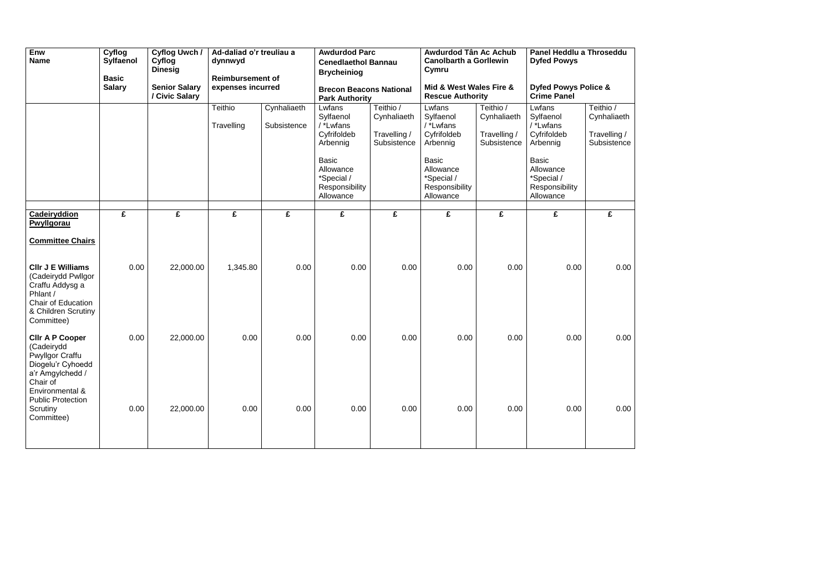| Enw<br><b>Name</b>                                                                                                                                                  | Cyflog<br><b>Sylfaenol</b><br><b>Basic</b><br><b>Salary</b> | Cyflog Uwch /<br>Cyflog<br><b>Dinesig</b><br><b>Senior Salary</b><br>/ Civic Salary | dynnwyd               | <b>Awdurdod Parc</b><br>Awdurdod Tân Ac Achub<br>Panel Heddlu a Throseddu<br>Ad-daliad o'r treuliau a<br><b>Canolbarth a Gorllewin</b><br><b>Dyfed Powys</b><br><b>Cenedlaethol Bannau</b><br>Cymru<br><b>Brycheiniog</b><br><b>Reimbursement of</b><br>Mid & West Wales Fire &<br><b>Dyfed Powys Police &amp;</b><br>expenses incurred<br><b>Brecon Beacons National</b><br><b>Crime Panel</b> |                                                                                                                                       |                                                         |                                                                                                                                       | <b>Park Authority</b>                                   |                                                                                                                                       | <b>Rescue Authority</b>                                 |  |  |
|---------------------------------------------------------------------------------------------------------------------------------------------------------------------|-------------------------------------------------------------|-------------------------------------------------------------------------------------|-----------------------|-------------------------------------------------------------------------------------------------------------------------------------------------------------------------------------------------------------------------------------------------------------------------------------------------------------------------------------------------------------------------------------------------|---------------------------------------------------------------------------------------------------------------------------------------|---------------------------------------------------------|---------------------------------------------------------------------------------------------------------------------------------------|---------------------------------------------------------|---------------------------------------------------------------------------------------------------------------------------------------|---------------------------------------------------------|--|--|
|                                                                                                                                                                     |                                                             |                                                                                     | Teithio<br>Travelling | Cynhaliaeth<br>Subsistence                                                                                                                                                                                                                                                                                                                                                                      | Lwfans<br>Sylfaenol<br>/ *Lwfans<br>Cyfrifoldeb<br>Arbennig<br><b>Basic</b><br>Allowance<br>*Special /<br>Responsibility<br>Allowance | Teithio /<br>Cynhaliaeth<br>Travelling /<br>Subsistence | Lwfans<br>Sylfaenol<br>/ *Lwfans<br>Cyfrifoldeb<br>Arbennig<br><b>Basic</b><br>Allowance<br>*Special /<br>Responsibility<br>Allowance | Teithio /<br>Cynhaliaeth<br>Travelling /<br>Subsistence | Lwfans<br>Sylfaenol<br>/ *Lwfans<br>Cyfrifoldeb<br>Arbennig<br><b>Basic</b><br>Allowance<br>*Special /<br>Responsibility<br>Allowance | Teithio /<br>Cynhaliaeth<br>Travelling /<br>Subsistence |  |  |
| <b>Cadeiryddion</b><br>Pwyllgorau                                                                                                                                   | £                                                           | £                                                                                   | £                     | £                                                                                                                                                                                                                                                                                                                                                                                               | £                                                                                                                                     | £                                                       | £                                                                                                                                     | £                                                       | £                                                                                                                                     | £                                                       |  |  |
| <b>Committee Chairs</b><br><b>CIIr J E Williams</b><br>(Cadeirydd Pwllgor<br>Craffu Addysg a<br>Phlant /<br>Chair of Education<br>& Children Scrutiny<br>Committee) | 0.00                                                        | 22,000.00                                                                           | 1,345.80              | 0.00                                                                                                                                                                                                                                                                                                                                                                                            | 0.00                                                                                                                                  | 0.00                                                    | 0.00                                                                                                                                  | 0.00                                                    | 0.00                                                                                                                                  | 0.00                                                    |  |  |
| <b>CIIr A P Cooper</b><br>(Cadeirydd<br><b>Pwyllgor Craffu</b><br>Diogelu'r Cyhoedd<br>a'r Amgylchedd /<br>Chair of<br>Environmental &<br><b>Public Protection</b>  | 0.00                                                        | 22,000.00                                                                           | 0.00                  | 0.00                                                                                                                                                                                                                                                                                                                                                                                            | 0.00                                                                                                                                  | 0.00                                                    | 0.00                                                                                                                                  | 0.00                                                    | 0.00                                                                                                                                  | 0.00                                                    |  |  |
| Scrutiny<br>Committee)                                                                                                                                              | 0.00                                                        | 22,000.00                                                                           | 0.00                  | 0.00                                                                                                                                                                                                                                                                                                                                                                                            | 0.00                                                                                                                                  | 0.00                                                    | 0.00                                                                                                                                  | 0.00                                                    | 0.00                                                                                                                                  | 0.00                                                    |  |  |

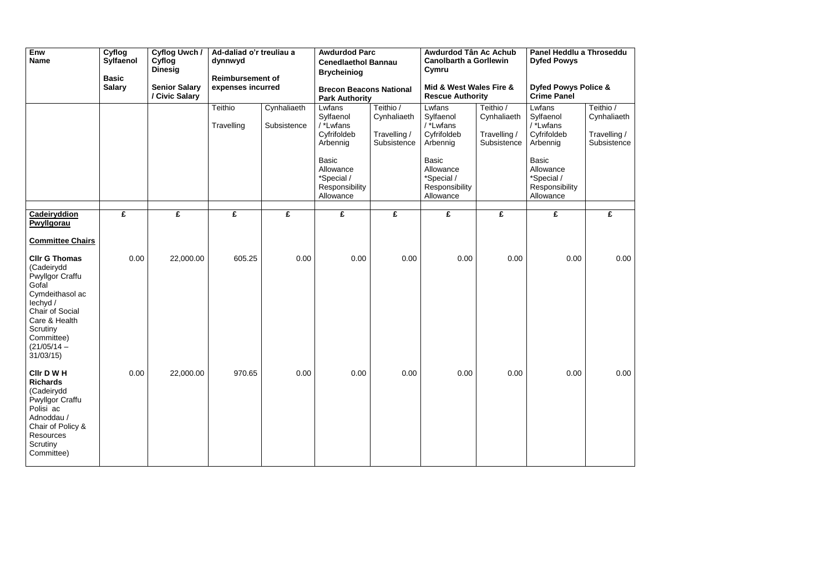| Enw<br><b>Name</b>                                                                                                                                                                                                         | Cyflog<br><b>Sylfaenol</b><br><b>Basic</b><br><b>Salary</b> | Cyflog Uwch /<br>Cyflog<br><b>Dinesig</b><br><b>Senior Salary</b> | Ad-daliad o'r treuliau a<br>dynnwyd<br><b>Reimbursement of</b><br>expenses incurred |                            | <b>Awdurdod Parc</b><br><b>Cenedlaethol Bannau</b><br><b>Brycheiniog</b><br><b>Brecon Beacons National</b>                                                     |                                                         | Awdurdod Tân Ac Achub<br><b>Canolbarth a Gorllewin</b><br>Cymru<br>Mid & West Wales Fire &                                                                       |                                                         | Panel Heddlu a Throseddu<br><b>Dyfed Powys</b><br><b>Dyfed Powys Police &amp;</b>                                                                           |                                                         |
|----------------------------------------------------------------------------------------------------------------------------------------------------------------------------------------------------------------------------|-------------------------------------------------------------|-------------------------------------------------------------------|-------------------------------------------------------------------------------------|----------------------------|----------------------------------------------------------------------------------------------------------------------------------------------------------------|---------------------------------------------------------|------------------------------------------------------------------------------------------------------------------------------------------------------------------|---------------------------------------------------------|-------------------------------------------------------------------------------------------------------------------------------------------------------------|---------------------------------------------------------|
|                                                                                                                                                                                                                            |                                                             | / Civic Salary                                                    | Teithio<br>Travelling                                                               | Cynhaliaeth<br>Subsistence | <b>Park Authority</b><br>Lwfans<br>Sylfaenol<br>/ *Lwfans<br>Cyfrifoldeb<br>Arbennig<br><b>Basic</b><br>Allowance<br>*Special /<br>Responsibility<br>Allowance | Teithio /<br>Cynhaliaeth<br>Travelling /<br>Subsistence | <b>Rescue Authority</b><br>Lwfans<br>Sylfaenol<br>/ *Lwfans<br>Cyfrifoldeb<br>Arbennig<br><b>Basic</b><br>Allowance<br>*Special /<br>Responsibility<br>Allowance | Teithio /<br>Cynhaliaeth<br>Travelling /<br>Subsistence | <b>Crime Panel</b><br>Lwfans<br>Sylfaenol<br>/ *Lwfans<br>Cyfrifoldeb<br>Arbennig<br><b>Basic</b><br>Allowance<br>*Special /<br>Responsibility<br>Allowance | Teithio /<br>Cynhaliaeth<br>Travelling /<br>Subsistence |
| <b>Cadeiryddion</b><br>Pwyllgorau                                                                                                                                                                                          | £                                                           | £                                                                 | £                                                                                   | £                          | £                                                                                                                                                              | £                                                       | £                                                                                                                                                                | £                                                       | £                                                                                                                                                           | £                                                       |
| <b>Committee Chairs</b><br><b>Cllr G Thomas</b><br>(Cadeirydd<br><b>Pwyllgor Craffu</b><br>Gofal<br>Cymdeithasol ac<br>lechyd /<br>Chair of Social<br>Care & Health<br>Scrutiny<br>Committee)<br>$(21/05/14 -$<br>31/03/15 | 0.00                                                        | 22,000.00                                                         | 605.25                                                                              | 0.00                       | 0.00                                                                                                                                                           | 0.00                                                    | 0.00                                                                                                                                                             | 0.00                                                    | 0.00                                                                                                                                                        | 0.00                                                    |
| CIIr D W H<br><b>Richards</b><br>(Cadeirydd<br><b>Pwyllgor Craffu</b><br>Polisi ac<br>Adnoddau /<br>Chair of Policy &<br>Resources<br>Scrutiny<br>Committee)                                                               | 0.00                                                        | 22,000.00                                                         | 970.65                                                                              | 0.00                       | 0.00                                                                                                                                                           | 0.00                                                    | 0.00                                                                                                                                                             | 0.00                                                    | 0.00                                                                                                                                                        | 0.00                                                    |

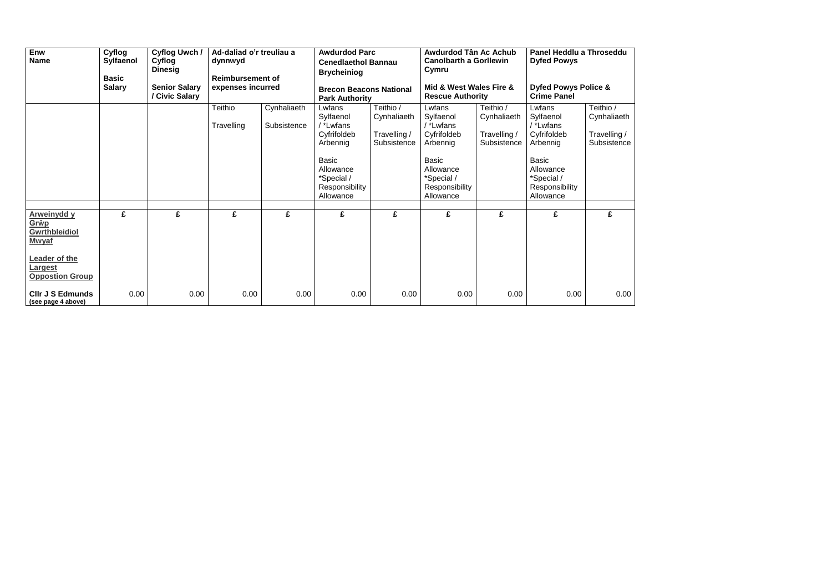| Enw<br><b>Name</b>                                                 | Cyflog<br>Sylfaenol<br><b>Basic</b><br><b>Salary</b> | Cyflog Uwch /<br>Cyflog<br><b>Dinesig</b><br><b>Senior Salary</b> | Ad-daliad o'r treuliau a<br>dynnwyd<br><b>Reimbursement of</b><br>expenses incurred |                            | <b>Brycheiniog</b>                                                                                                                    | <b>Awdurdod Parc</b><br><b>Cenedlaethol Bannau</b>      |                                                                                                                                       | Awdurdod Tân Ac Achub<br><b>Canolbarth a Gorllewin</b><br>Cymru<br>Mid & West Wales Fire & |                                                                                                                                       | Panel Heddlu a Throseddu<br><b>Dyfed Powys</b><br><b>Dyfed Powys Police &amp;</b> |  |  |
|--------------------------------------------------------------------|------------------------------------------------------|-------------------------------------------------------------------|-------------------------------------------------------------------------------------|----------------------------|---------------------------------------------------------------------------------------------------------------------------------------|---------------------------------------------------------|---------------------------------------------------------------------------------------------------------------------------------------|--------------------------------------------------------------------------------------------|---------------------------------------------------------------------------------------------------------------------------------------|-----------------------------------------------------------------------------------|--|--|
|                                                                    |                                                      | / Civic Salary                                                    |                                                                                     |                            | <b>Brecon Beacons National</b><br><b>Park Authority</b>                                                                               |                                                         | <b>Rescue Authority</b>                                                                                                               |                                                                                            | <b>Crime Panel</b>                                                                                                                    |                                                                                   |  |  |
|                                                                    |                                                      |                                                                   | Teithio<br>Travelling                                                               | Cynhaliaeth<br>Subsistence | Lwfans<br>Sylfaenol<br>/ *Lwfans<br>Cyfrifoldeb<br>Arbennig<br><b>Basic</b><br>Allowance<br>*Special /<br>Responsibility<br>Allowance | Teithio /<br>Cynhaliaeth<br>Travelling /<br>Subsistence | Lwfans<br>Sylfaenol<br>/ *Lwfans<br>Cyfrifoldeb<br>Arbennig<br><b>Basic</b><br>Allowance<br>*Special /<br>Responsibility<br>Allowance | Teithio /<br>Cynhaliaeth<br>Travelling /<br>Subsistence                                    | Lwfans<br>Sylfaenol<br>/ *Lwfans<br>Cyfrifoldeb<br>Arbennig<br><b>Basic</b><br>Allowance<br>*Special /<br>Responsibility<br>Allowance | Teithio /<br>Cynhaliaeth<br>Travelling /<br>Subsistence                           |  |  |
|                                                                    |                                                      |                                                                   |                                                                                     |                            |                                                                                                                                       |                                                         |                                                                                                                                       |                                                                                            |                                                                                                                                       |                                                                                   |  |  |
| <b>Arweinydd y</b><br>Grŵp<br><b>Gwrthbleidiol</b><br><b>Mwyaf</b> | £                                                    | £                                                                 | £                                                                                   | £                          | £                                                                                                                                     | £                                                       | £                                                                                                                                     | £                                                                                          | £                                                                                                                                     | £                                                                                 |  |  |
| Leader of the<br><b>Largest</b><br><b>Oppostion Group</b>          |                                                      |                                                                   |                                                                                     |                            |                                                                                                                                       |                                                         |                                                                                                                                       |                                                                                            |                                                                                                                                       |                                                                                   |  |  |
| <b>CIIr J S Edmunds</b><br>(see page 4 above)                      | 0.00                                                 | 0.00                                                              | 0.00                                                                                | 0.00                       | 0.00                                                                                                                                  | 0.00                                                    | 0.00                                                                                                                                  | 0.00                                                                                       | 0.00                                                                                                                                  | 0.00                                                                              |  |  |

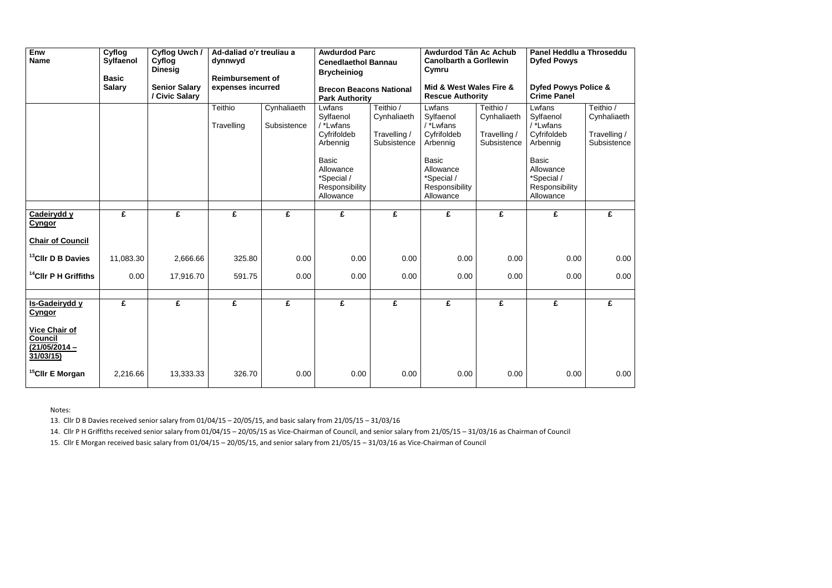| Enw<br><b>Name</b>                                                                                        | Cyflog<br>Sylfaenol<br><b>Basic</b> | <b>Cyflog Uwch/</b><br>Cyflog<br><b>Dinesig</b> | Ad-daliad o'r treuliau a<br>dynnwyd<br><b>Reimbursement of</b><br>expenses incurred |                            | <b>Awdurdod Parc</b><br><b>Cenedlaethol Bannau</b><br><b>Brycheiniog</b>                                                              |                                                         | Awdurdod Tân Ac Achub<br><b>Canolbarth a Gorllewin</b><br>Cymru                                                                       |                                                         | Panel Heddlu a Throseddu<br><b>Dyfed Powys</b>                                                                                        |                                                         |
|-----------------------------------------------------------------------------------------------------------|-------------------------------------|-------------------------------------------------|-------------------------------------------------------------------------------------|----------------------------|---------------------------------------------------------------------------------------------------------------------------------------|---------------------------------------------------------|---------------------------------------------------------------------------------------------------------------------------------------|---------------------------------------------------------|---------------------------------------------------------------------------------------------------------------------------------------|---------------------------------------------------------|
|                                                                                                           | <b>Salary</b>                       | <b>Senior Salary</b><br>/ Civic Salary          |                                                                                     |                            | <b>Brecon Beacons National</b><br><b>Park Authority</b>                                                                               |                                                         | Mid & West Wales Fire &<br><b>Rescue Authority</b>                                                                                    |                                                         | <b>Dyfed Powys Police &amp;</b><br><b>Crime Panel</b>                                                                                 |                                                         |
|                                                                                                           |                                     |                                                 | Teithio<br>Travelling                                                               | Cynhaliaeth<br>Subsistence | Lwfans<br>Sylfaenol<br>/ *Lwfans<br>Cyfrifoldeb<br>Arbennig<br><b>Basic</b><br>Allowance<br>*Special /<br>Responsibility<br>Allowance | Teithio /<br>Cynhaliaeth<br>Travelling /<br>Subsistence | Lwfans<br>Sylfaenol<br>/ *Lwfans<br>Cyfrifoldeb<br>Arbennig<br><b>Basic</b><br>Allowance<br>*Special /<br>Responsibility<br>Allowance | Teithio /<br>Cynhaliaeth<br>Travelling /<br>Subsistence | Lwfans<br>Sylfaenol<br>/ *Lwfans<br>Cyfrifoldeb<br>Arbennig<br><b>Basic</b><br>Allowance<br>*Special /<br>Responsibility<br>Allowance | Teithio /<br>Cynhaliaeth<br>Travelling /<br>Subsistence |
| Cadeirydd y<br><b>Cyngor</b><br><b>Chair of Council</b>                                                   | £                                   | £                                               | £                                                                                   | £                          | £                                                                                                                                     | £                                                       | £                                                                                                                                     | £                                                       | £                                                                                                                                     | £                                                       |
| <sup>13</sup> CIIr D B Davies                                                                             | 11,083.30                           | 2,666.66                                        | 325.80                                                                              | 0.00                       | 0.00                                                                                                                                  | 0.00                                                    | 0.00                                                                                                                                  | 0.00                                                    | 0.00                                                                                                                                  | 0.00                                                    |
| <sup>14</sup> CIIr P H Griffiths                                                                          | 0.00                                | 17,916.70                                       | 591.75                                                                              | 0.00                       | 0.00                                                                                                                                  | 0.00                                                    | 0.00                                                                                                                                  | 0.00                                                    | 0.00                                                                                                                                  | 0.00                                                    |
| Is-Gadeirydd y<br><b>Cyngor</b><br><b>Vice Chair of</b><br><b>Council</b><br>$(21/05/2014 -$<br>31/03/15) | $\overline{\mathbf{f}}$             | $\overline{\mathbf{f}}$                         | $\overline{\mathbf{f}}$                                                             | $\overline{f}$             | $\overline{\mathbf{f}}$                                                                                                               | $\overline{\mathbf{f}}$                                 | $\overline{f}$                                                                                                                        | $\overline{f}$                                          | $\overline{f}$                                                                                                                        | $\overline{f}$                                          |
| <sup>15</sup> Cllr E Morgan                                                                               | 2,216.66                            | 13,333.33                                       | 326.70                                                                              | 0.00                       | 0.00                                                                                                                                  | 0.00                                                    | 0.00                                                                                                                                  | 0.00                                                    | 0.00                                                                                                                                  | 0.00                                                    |



Notes:

13. Cllr D B Davies received senior salary from 01/04/15 – 20/05/15, and basic salary from 21/05/15 – 31/03/16

14. Cllr P H Griffiths received senior salary from 01/04/15 – 20/05/15 as Vice-Chairman of Council, and senior salary from 21/05/15 – 31/03/16 as Chairman of Council

15. Cllr E Morgan received basic salary from 01/04/15 – 20/05/15, and senior salary from 21/05/15 – 31/03/16 as Vice-Chairman of Council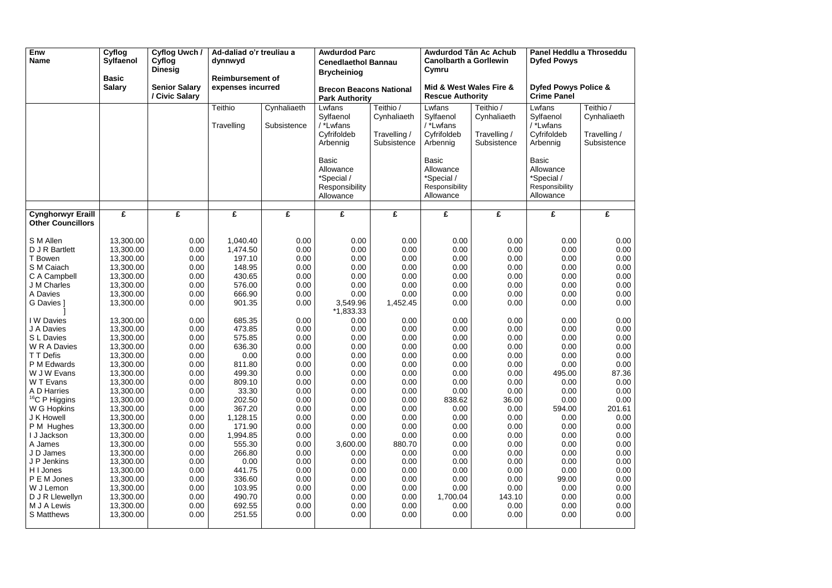| Enw<br><b>Name</b>                                   | Cyflog<br><b>Sylfaenol</b><br><b>Basic</b> | Cyflog Uwch /<br>Cyflog<br><b>Dinesig</b> | Ad-daliad o'r treuliau a<br>dynnwyd<br><b>Reimbursement of</b> |                            | <b>Awdurdod Parc</b><br><b>Cenedlaethol Bannau</b><br><b>Brycheiniog</b> |                                                         | <b>Canolbarth a Gorllewin</b><br>Cymru                                 | Awdurdod Tân Ac Achub                                   | Panel Heddlu a Throseddu<br><b>Dyfed Powys</b>                         |                                                         |
|------------------------------------------------------|--------------------------------------------|-------------------------------------------|----------------------------------------------------------------|----------------------------|--------------------------------------------------------------------------|---------------------------------------------------------|------------------------------------------------------------------------|---------------------------------------------------------|------------------------------------------------------------------------|---------------------------------------------------------|
|                                                      | <b>Salary</b>                              | <b>Senior Salary</b><br>/ Civic Salary    | expenses incurred                                              |                            | <b>Brecon Beacons National</b><br><b>Park Authority</b>                  |                                                         | Mid & West Wales Fire &<br><b>Rescue Authority</b>                     |                                                         | <b>Dyfed Powys Police &amp;</b><br><b>Crime Panel</b>                  |                                                         |
|                                                      |                                            |                                           | Teithio<br>Travelling                                          | Cynhaliaeth<br>Subsistence | Lwfans<br>Sylfaenol<br>/ *Lwfans<br>Cyfrifoldeb<br>Arbennig              | Teithio /<br>Cynhaliaeth<br>Travelling /<br>Subsistence | Lwfans<br>Sylfaenol<br>/ *Lwfans<br>Cyfrifoldeb<br>Arbennig            | Teithio /<br>Cynhaliaeth<br>Travelling /<br>Subsistence | Lwfans<br>Sylfaenol<br>/ *Lwfans<br>Cyfrifoldeb<br>Arbennig            | Teithio /<br>Cynhaliaeth<br>Travelling /<br>Subsistence |
|                                                      |                                            |                                           |                                                                |                            | <b>Basic</b><br>Allowance<br>*Special /<br>Responsibility<br>Allowance   |                                                         | <b>Basic</b><br>Allowance<br>*Special /<br>Responsibility<br>Allowance |                                                         | <b>Basic</b><br>Allowance<br>*Special /<br>Responsibility<br>Allowance |                                                         |
| <b>Cynghorwyr Eraill</b><br><b>Other Councillors</b> | £                                          | £                                         | £                                                              | £                          | £                                                                        | £                                                       | £                                                                      | £                                                       | £                                                                      | £                                                       |
|                                                      |                                            |                                           |                                                                |                            |                                                                          |                                                         |                                                                        |                                                         |                                                                        |                                                         |
| S M Allen                                            | 13,300.00                                  | 0.00                                      | 1,040.40                                                       | 0.00                       | 0.00                                                                     | 0.00                                                    | 0.00                                                                   | 0.00                                                    | 0.00                                                                   | 0.00                                                    |
| D J R Bartlett                                       | 13,300.00                                  | 0.00                                      | 1,474.50                                                       | 0.00                       | 0.00                                                                     | 0.00                                                    | 0.00                                                                   | 0.00                                                    | 0.00                                                                   | 0.00                                                    |
| T Bowen<br>S M Caiach                                | 13,300.00                                  | 0.00                                      | 197.10<br>148.95                                               | 0.00                       | 0.00<br>0.00                                                             | 0.00<br>0.00                                            | 0.00<br>0.00                                                           | 0.00                                                    | 0.00<br>0.00                                                           | 0.00<br>0.00                                            |
| C A Campbell                                         | 13,300.00<br>13,300.00                     | 0.00<br>0.00                              | 430.65                                                         | 0.00<br>0.00               | 0.00                                                                     | 0.00                                                    | 0.00                                                                   | 0.00<br>0.00                                            | 0.00                                                                   | 0.00                                                    |
| J M Charles                                          | 13,300.00                                  | 0.00                                      | 576.00                                                         | 0.00                       | 0.00                                                                     | 0.00                                                    | 0.00                                                                   | 0.00                                                    | 0.00                                                                   | 0.00                                                    |
| A Davies                                             | 13,300.00                                  | 0.00                                      | 666.90                                                         | 0.00                       | 0.00                                                                     | 0.00                                                    | 0.00                                                                   | 0.00                                                    | 0.00                                                                   | 0.00                                                    |
| G Davies 1                                           | 13,300.00                                  | 0.00                                      | 901.35                                                         | 0.00                       | 3,549.96                                                                 | 1,452.45                                                | 0.00                                                                   | 0.00                                                    | 0.00                                                                   | 0.00                                                    |
|                                                      |                                            |                                           |                                                                |                            | $*1,833.33$                                                              |                                                         |                                                                        |                                                         |                                                                        |                                                         |
| I W Davies                                           | 13,300.00                                  | 0.00                                      | 685.35                                                         | 0.00                       | 0.00                                                                     | 0.00                                                    | 0.00                                                                   | 0.00                                                    | 0.00                                                                   | 0.00                                                    |
| J A Davies                                           | 13,300.00                                  | 0.00                                      | 473.85                                                         | 0.00                       | 0.00                                                                     | 0.00                                                    | 0.00                                                                   | 0.00                                                    | 0.00                                                                   | 0.00                                                    |
| S L Davies                                           | 13,300.00                                  | 0.00                                      | 575.85                                                         | 0.00                       | 0.00                                                                     | 0.00                                                    | 0.00                                                                   | 0.00                                                    | 0.00                                                                   | 0.00                                                    |
| W R A Davies                                         | 13,300.00                                  | 0.00                                      | 636.30                                                         | 0.00                       | 0.00                                                                     | 0.00                                                    | 0.00                                                                   | 0.00                                                    | 0.00                                                                   | 0.00                                                    |
| T T Defis                                            | 13,300.00                                  | 0.00                                      | 0.00                                                           | 0.00                       | 0.00                                                                     | 0.00                                                    | 0.00                                                                   | 0.00                                                    | 0.00                                                                   | 0.00                                                    |
| P M Edwards                                          | 13,300.00                                  | 0.00                                      | 811.80                                                         | 0.00                       | 0.00                                                                     | 0.00                                                    | 0.00                                                                   | 0.00                                                    | 0.00                                                                   | 0.00                                                    |
| W J W Evans                                          | 13,300.00                                  | 0.00                                      | 499.30                                                         | 0.00                       | 0.00                                                                     | 0.00                                                    | 0.00                                                                   | 0.00                                                    | 495.00                                                                 | 87.36                                                   |
| W T Evans                                            | 13,300.00                                  | 0.00                                      | 809.10                                                         | 0.00                       | 0.00                                                                     | 0.00                                                    | 0.00                                                                   | 0.00                                                    | 0.00                                                                   | 0.00                                                    |
| A D Harries                                          | 13,300.00                                  | 0.00                                      | 33.30                                                          | 0.00                       | 0.00                                                                     | 0.00                                                    | 0.00                                                                   | 0.00                                                    | 0.00                                                                   | 0.00                                                    |
| <sup>16</sup> C P Higgins                            | 13,300.00                                  | 0.00                                      | 202.50                                                         | 0.00                       | 0.00                                                                     | 0.00                                                    | 838.62                                                                 | 36.00                                                   | 0.00                                                                   | 0.00                                                    |
| W G Hopkins                                          | 13,300.00                                  | 0.00                                      | 367.20                                                         | 0.00                       | 0.00                                                                     | 0.00                                                    | 0.00                                                                   | 0.00                                                    | 594.00                                                                 | 201.61                                                  |
| J K Howell                                           | 13,300.00                                  | 0.00                                      | 1,128.15                                                       | 0.00                       | 0.00                                                                     | 0.00                                                    | 0.00                                                                   | 0.00                                                    | 0.00                                                                   | 0.00                                                    |
| P M Hughes<br>I J Jackson                            | 13,300.00<br>13,300.00                     | 0.00<br>0.00                              | 171.90<br>1,994.85                                             | 0.00<br>0.00               | 0.00<br>0.00                                                             | 0.00<br>0.00                                            | 0.00<br>0.00                                                           | 0.00<br>0.00                                            | 0.00<br>0.00                                                           | 0.00<br>0.00                                            |
| A James                                              | 13,300.00                                  | 0.00                                      | 555.30                                                         | 0.00                       | 3,600.00                                                                 | 880.70                                                  | 0.00                                                                   | 0.00                                                    | 0.00                                                                   | 0.00                                                    |
| J D James                                            | 13,300.00                                  | 0.00                                      | 266.80                                                         | 0.00                       | 0.00                                                                     | 0.00                                                    | 0.00                                                                   | 0.00                                                    | 0.00                                                                   | 0.00                                                    |
| J P Jenkins                                          | 13,300.00                                  | 0.00                                      | 0.00                                                           | 0.00                       | 0.00                                                                     | 0.00                                                    | 0.00                                                                   | 0.00                                                    | 0.00                                                                   | 0.00                                                    |
| H I Jones                                            | 13,300.00                                  | 0.00                                      | 441.75                                                         | 0.00                       | 0.00                                                                     | 0.00                                                    | 0.00                                                                   | 0.00                                                    | 0.00                                                                   | 0.00                                                    |
| P E M Jones                                          | 13,300.00                                  | 0.00                                      | 336.60                                                         | 0.00                       | 0.00                                                                     | 0.00                                                    | 0.00                                                                   | 0.00                                                    | 99.00                                                                  | 0.00                                                    |
| W J Lemon                                            | 13,300.00                                  | 0.00                                      | 103.95                                                         | 0.00                       | 0.00                                                                     | 0.00                                                    | 0.00                                                                   | 0.00                                                    | 0.00                                                                   | 0.00                                                    |
| D J R Llewellyn                                      | 13,300.00                                  | 0.00                                      | 490.70                                                         | 0.00                       | 0.00                                                                     | 0.00                                                    | 1,700.04                                                               | 143.10                                                  | 0.00                                                                   | 0.00                                                    |
| M J A Lewis                                          | 13,300.00                                  | 0.00                                      | 692.55                                                         | 0.00                       | 0.00                                                                     | 0.00                                                    | 0.00                                                                   | 0.00                                                    | 0.00                                                                   | 0.00                                                    |
| S Matthews                                           | 13,300.00                                  | 0.00                                      | 251.55                                                         | 0.00                       | 0.00                                                                     | 0.00                                                    | 0.00                                                                   | 0.00                                                    | 0.00                                                                   | 0.00                                                    |
|                                                      |                                            |                                           |                                                                |                            |                                                                          |                                                         |                                                                        |                                                         |                                                                        |                                                         |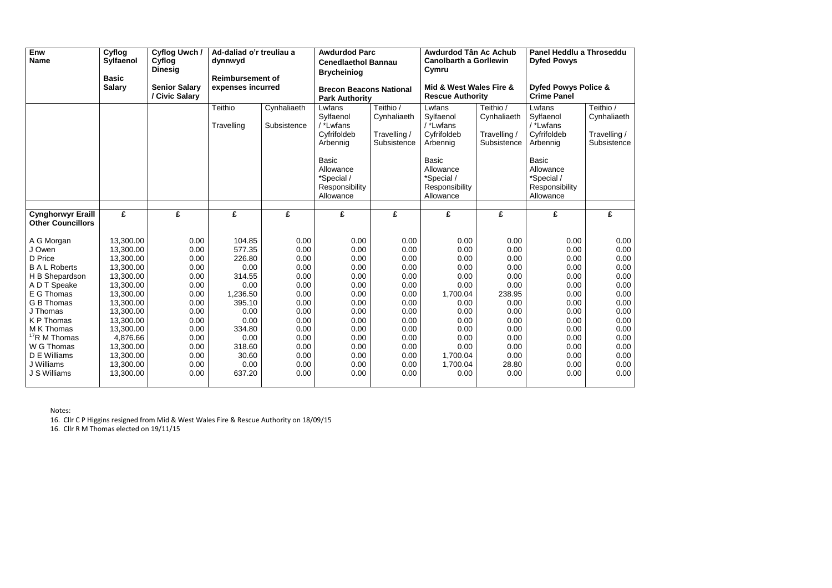| Enw<br><b>Name</b>                                                                                                                                                                                                                                         | Cyflog<br><b>Sylfaenol</b><br><b>Basic</b>                                                                                                                                                                  | <b>Cyflog Uwch /</b><br>Cyflog<br><b>Dinesig</b>                                                                             | Ad-daliad o'r treuliau a<br>dynnwyd<br><b>Reimbursement of</b>                                                                                    |                                                                                                                              | <b>Awdurdod Parc</b><br><b>Cenedlaethol Bannau</b><br><b>Brycheiniog</b>                                                              |                                                                                                                              | Awdurdod Tân Ac Achub<br><b>Canolbarth a Gorllewin</b><br>Cymru                                                                          |                                                                                                                                 | Panel Heddlu a Throseddu<br><b>Dyfed Powys</b>                                                                                        |                                                                                                                              |  |
|------------------------------------------------------------------------------------------------------------------------------------------------------------------------------------------------------------------------------------------------------------|-------------------------------------------------------------------------------------------------------------------------------------------------------------------------------------------------------------|------------------------------------------------------------------------------------------------------------------------------|---------------------------------------------------------------------------------------------------------------------------------------------------|------------------------------------------------------------------------------------------------------------------------------|---------------------------------------------------------------------------------------------------------------------------------------|------------------------------------------------------------------------------------------------------------------------------|------------------------------------------------------------------------------------------------------------------------------------------|---------------------------------------------------------------------------------------------------------------------------------|---------------------------------------------------------------------------------------------------------------------------------------|------------------------------------------------------------------------------------------------------------------------------|--|
|                                                                                                                                                                                                                                                            | <b>Salary</b>                                                                                                                                                                                               | <b>Senior Salary</b><br>/ Civic Salary                                                                                       |                                                                                                                                                   | expenses incurred                                                                                                            |                                                                                                                                       | <b>Brecon Beacons National</b><br><b>Park Authority</b>                                                                      |                                                                                                                                          | Mid & West Wales Fire &<br><b>Rescue Authority</b>                                                                              |                                                                                                                                       | <b>Dyfed Powys Police &amp;</b><br><b>Crime Panel</b>                                                                        |  |
|                                                                                                                                                                                                                                                            |                                                                                                                                                                                                             |                                                                                                                              | <b>Teithio</b><br>Travelling                                                                                                                      | Cynhaliaeth<br>Subsistence                                                                                                   | Lwfans<br>Sylfaenol<br>/ *Lwfans<br>Cyfrifoldeb<br>Arbennig<br><b>Basic</b><br>Allowance<br>*Special /<br>Responsibility<br>Allowance | Teithio /<br>Cynhaliaeth<br>Travelling /<br>Subsistence                                                                      | Lwfans<br>Sylfaenol<br>/ *Lwfans<br>Cyfrifoldeb<br>Arbennig<br><b>Basic</b><br>Allowance<br>*Special /<br>Responsibility<br>Allowance    | Teithio /<br>Cynhaliaeth<br>Travelling /<br>Subsistence                                                                         | Lwfans<br>Sylfaenol<br>/ *Lwfans<br>Cyfrifoldeb<br>Arbennig<br><b>Basic</b><br>Allowance<br>*Special /<br>Responsibility<br>Allowance | Teithio /<br>Cynhaliaeth<br>Travelling /<br>Subsistence                                                                      |  |
| <b>Cynghorwyr Eraill</b><br><b>Other Councillors</b>                                                                                                                                                                                                       | $\overline{f}$                                                                                                                                                                                              | £                                                                                                                            | £                                                                                                                                                 | $\overline{\mathbf{f}}$                                                                                                      | £                                                                                                                                     | $\overline{f}$                                                                                                               | £                                                                                                                                        | £                                                                                                                               | $\overline{\mathbf{f}}$                                                                                                               | $\overline{f}$                                                                                                               |  |
| A G Morgan<br>J Owen<br>D Price<br><b>BAL Roberts</b><br>H B Shepardson<br>A D T Speake<br>E G Thomas<br><b>G B Thomas</b><br>J Thomas<br>K P Thomas<br>M K Thomas<br><sup>17</sup> R M Thomas<br>W G Thomas<br>D E Williams<br>J Williams<br>J S Williams | 13,300.00<br>13,300.00<br>13,300.00<br>13,300.00<br>13,300.00<br>13,300.00<br>13,300.00<br>13,300.00<br>13,300.00<br>13,300.00<br>13,300.00<br>4,876.66<br>13,300.00<br>13,300.00<br>13,300.00<br>13,300.00 | 0.00<br>0.00<br>0.00<br>0.00<br>0.00<br>0.00<br>0.00<br>0.00<br>0.00<br>0.00<br>0.00<br>0.00<br>0.00<br>0.00<br>0.00<br>0.00 | 104.85<br>577.35<br>226.80<br>0.00<br>314.55<br>0.00<br>1,236.50<br>395.10<br>0.00<br>0.00<br>334.80<br>0.00<br>318.60<br>30.60<br>0.00<br>637.20 | 0.00<br>0.00<br>0.00<br>0.00<br>0.00<br>0.00<br>0.00<br>0.00<br>0.00<br>0.00<br>0.00<br>0.00<br>0.00<br>0.00<br>0.00<br>0.00 | 0.00<br>0.00<br>0.00<br>0.00<br>0.00<br>0.00<br>0.00<br>0.00<br>0.00<br>0.00<br>0.00<br>0.00<br>0.00<br>0.00<br>0.00<br>0.00          | 0.00<br>0.00<br>0.00<br>0.00<br>0.00<br>0.00<br>0.00<br>0.00<br>0.00<br>0.00<br>0.00<br>0.00<br>0.00<br>0.00<br>0.00<br>0.00 | 0.00<br>0.00<br>0.00<br>0.00<br>0.00<br>0.00<br>1,700.04<br>0.00<br>0.00<br>0.00<br>0.00<br>0.00<br>0.00<br>1,700.04<br>1,700.04<br>0.00 | 0.00<br>0.00<br>0.00<br>0.00<br>0.00<br>0.00<br>238.95<br>0.00<br>0.00<br>0.00<br>0.00<br>0.00<br>0.00<br>0.00<br>28.80<br>0.00 | 0.00<br>0.00<br>0.00<br>0.00<br>0.00<br>0.00<br>0.00<br>0.00<br>0.00<br>0.00<br>0.00<br>0.00<br>0.00<br>0.00<br>0.00<br>0.00          | 0.00<br>0.00<br>0.00<br>0.00<br>0.00<br>0.00<br>0.00<br>0.00<br>0.00<br>0.00<br>0.00<br>0.00<br>0.00<br>0.00<br>0.00<br>0.00 |  |

Notes:

16. Cllr C P Higgins resigned from Mid & West Wales Fire & Rescue Authority on 18/09/15

16. Cllr R M Thomas elected on 19/11/15

| h              |  |
|----------------|--|
| òС             |  |
|                |  |
|                |  |
|                |  |
|                |  |
|                |  |
|                |  |
| $\overline{0}$ |  |
| $\overline{0}$ |  |
| $\overline{0}$ |  |
| $\overline{0}$ |  |
| )O             |  |
| $\overline{0}$ |  |
| $\overline{0}$ |  |
| $\overline{0}$ |  |
| $\overline{0}$ |  |
| $\overline{0}$ |  |
| $\overline{0}$ |  |
| $\overline{0}$ |  |
| )O             |  |
| $\overline{0}$ |  |
| $\overline{0}$ |  |
| $\overline{0}$ |  |
|                |  |
|                |  |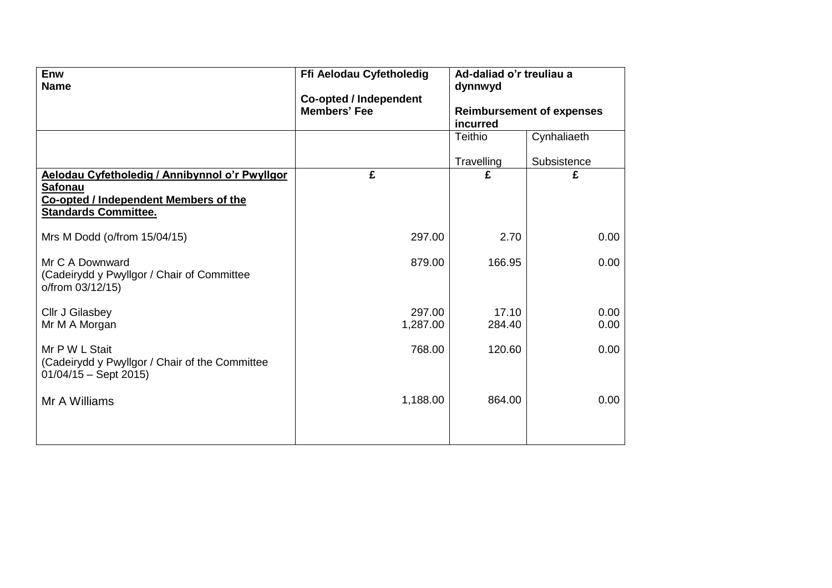| Enw<br><b>Name</b>                                                                                                                       | Ffi Aelodau Cyfetholedig                             | Ad-daliad o'r treuliau a<br>dynnwyd |                                  |  |  |
|------------------------------------------------------------------------------------------------------------------------------------------|------------------------------------------------------|-------------------------------------|----------------------------------|--|--|
|                                                                                                                                          | <b>Co-opted / Independent</b><br><b>Members' Fee</b> | incurred                            | <b>Reimbursement of expenses</b> |  |  |
|                                                                                                                                          |                                                      | <b>Teithio</b>                      | Cynhaliaeth                      |  |  |
|                                                                                                                                          |                                                      | Travelling                          | Subsistence                      |  |  |
| Aelodau Cyfetholedig / Annibynnol o'r Pwyllgor<br><b>Safonau</b><br>Co-opted / Independent Members of the<br><b>Standards Committee.</b> | £                                                    | £                                   | £                                |  |  |
| Mrs M Dodd (o/from 15/04/15)                                                                                                             | 297.00                                               | 2.70                                | 0.00                             |  |  |
| Mr C A Downward<br>(Cadeirydd y Pwyllgor / Chair of Committee<br>o/from 03/12/15)                                                        | 879.00                                               | 166.95                              | 0.00                             |  |  |
| Cllr J Gilasbey<br>Mr M A Morgan                                                                                                         | 297.00<br>1,287.00                                   | 17.10<br>284.40                     | 0.00<br>0.00                     |  |  |
| Mr P W L Stait<br>(Cadeirydd y Pwyllgor / Chair of the Committee<br>$01/04/15 -$ Sept 2015)                                              | 768.00                                               | 120.60                              | 0.00                             |  |  |
| Mr A Williams                                                                                                                            | 1,188.00                                             | 864.00                              | 0.00                             |  |  |